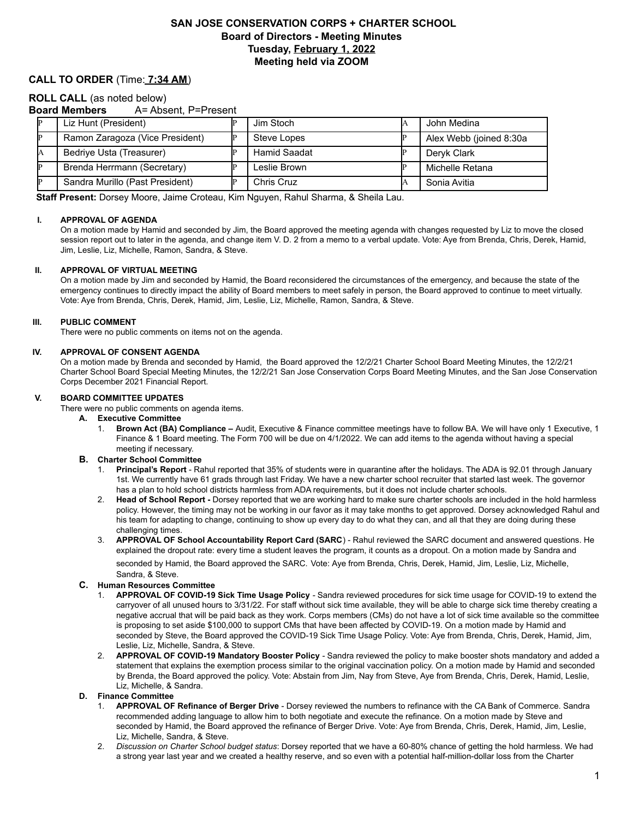# **SAN JOSE CONSERVATION CORPS + CHARTER SCHOOL Board of Directors - Meeting Minutes Tuesday, February 1, 2022 Meeting held via ZOOM**

# **CALL TO ORDER** (Time: **7:34 AM**)

# **ROLL CALL** (as noted below)

**Board Members** A= Absent, P=Present

| Liz Hunt (President)            | Jim Stoch    | John Medina             |
|---------------------------------|--------------|-------------------------|
| Ramon Zaragoza (Vice President) | Steve Lopes  | Alex Webb (joined 8:30a |
| Bedriye Usta (Treasurer)        | Hamid Saadat | Deryk Clark             |
| Brenda Herrmann (Secretary)     | Leslie Brown | Michelle Retana         |
| Sandra Murillo (Past President) | Chris Cruz   | Sonia Avitia            |

**Staff Present:** Dorsey Moore, Jaime Croteau, Kim Nguyen, Rahul Sharma, & Sheila Lau.

## **I. APPROVAL OF AGENDA**

On a motion made by Hamid and seconded by Jim, the Board approved the meeting agenda with changes requested by Liz to move the closed session report out to later in the agenda, and change item V. D. 2 from a memo to a verbal update. Vote: Aye from Brenda, Chris, Derek, Hamid, Jim, Leslie, Liz, Michelle, Ramon, Sandra, & Steve.

## **II. APPROVAL OF VIRTUAL MEETING**

On a motion made by Jim and seconded by Hamid, the Board reconsidered the circumstances of the emergency, and because the state of the emergency continues to directly impact the ability of Board members to meet safely in person, the Board approved to continue to meet virtually. Vote: Aye from Brenda, Chris, Derek, Hamid, Jim, Leslie, Liz, Michelle, Ramon, Sandra, & Steve.

## **III. PUBLIC COMMENT**

There were no public comments on items not on the agenda.

#### **IV. APPROVAL OF CONSENT AGENDA**

On a motion made by Brenda and seconded by Hamid, the Board approved the 12/2/21 Charter School Board Meeting Minutes, the 12/2/21 Charter School Board Special Meeting Minutes, the 12/2/21 San Jose Conservation Corps Board Meeting Minutes, and the San Jose Conservation Corps December 2021 Financial Report.

#### **V. BOARD COMMITTEE UPDATES**

There were no public comments on agenda items.

- **A. Executive Committee**
	- 1. **Brown Act (BA) Compliance –** Audit, Executive & Finance committee meetings have to follow BA. We will have only 1 Executive, 1 Finance & 1 Board meeting. The Form 700 will be due on 4/1/2022. We can add items to the agenda without having a special meeting if necessary.
- **B. Charter School Committee**
	- 1. **Principal's Report** Rahul reported that 35% of students were in quarantine after the holidays. The ADA is 92.01 through January 1st. We currently have 61 grads through last Friday. We have a new charter school recruiter that started last week. The governor has a plan to hold school districts harmless from ADA requirements, but it does not include charter schools.
	- 2. **Head of School Report -** Dorsey reported that we are working hard to make sure charter schools are included in the hold harmless policy. However, the timing may not be working in our favor as it may take months to get approved. Dorsey acknowledged Rahul and his team for adapting to change, continuing to show up every day to do what they can, and all that they are doing during these challenging times.
	- 3. **APPROVAL OF School Accountability Report Card (SARC**) Rahul reviewed the SARC document and answered questions. He explained the dropout rate: every time a student leaves the program, it counts as a dropout. On a motion made by Sandra and seconded by Hamid, the Board approved the SARC. Vote: Aye from Brenda, Chris, Derek, Hamid, Jim, Leslie, Liz, Michelle, Sandra, & Steve.

# **C. Human Resources Committee**

- 1. **APPROVAL OF COVID-19 Sick Time Usage Policy** *-* Sandra reviewed procedures for sick time usage for COVID-19 to extend the carryover of all unused hours to 3/31/22. For staff without sick time available, they will be able to charge sick time thereby creating a negative accrual that will be paid back as they work. Corps members (CMs) do not have a lot of sick time available so the committee is proposing to set aside \$100,000 to support CMs that have been affected by COVID-19. On a motion made by Hamid and seconded by Steve, the Board approved the COVID-19 Sick Time Usage Policy. Vote: Aye from Brenda, Chris, Derek, Hamid, Jim, Leslie, Liz, Michelle, Sandra, & Steve.
- 2. **APPROVAL OF COVID-19 Mandatory Booster Policy** *-* Sandra reviewed the policy to make booster shots mandatory and added a statement that explains the exemption process similar to the original vaccination policy. On a motion made by Hamid and seconded by Brenda, the Board approved the policy. Vote: Abstain from Jim, Nay from Steve, Aye from Brenda, Chris, Derek, Hamid, Leslie, Liz, Michelle, & Sandra.
- **D. Finance Committee**
	- 1. **APPROVAL OF Refinance of Berger Drive** Dorsey reviewed the numbers to refinance with the CA Bank of Commerce. Sandra recommended adding language to allow him to both negotiate and execute the refinance. On a motion made by Steve and seconded by Hamid, the Board approved the refinance of Berger Drive. Vote: Aye from Brenda, Chris, Derek, Hamid, Jim, Leslie, Liz, Michelle, Sandra, & Steve.
	- 2. *Discussion on Charter School budget status*: Dorsey reported that we have a 60-80% chance of getting the hold harmless. We had a strong year last year and we created a healthy reserve, and so even with a potential half-million-dollar loss from the Charter